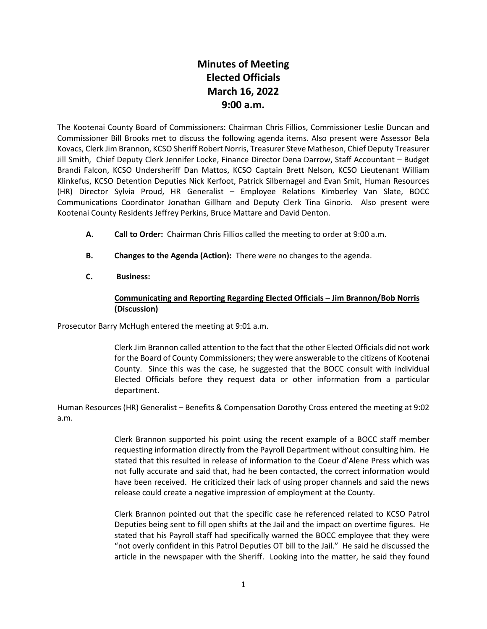## **Minutes of Meeting Elected Officials March 16, 2022 9:00 a.m.**

The Kootenai County Board of Commissioners: Chairman Chris Fillios, Commissioner Leslie Duncan and Commissioner Bill Brooks met to discuss the following agenda items. Also present were Assessor Bela Kovacs, Clerk Jim Brannon, KCSO Sheriff Robert Norris, Treasurer Steve Matheson, Chief Deputy Treasurer Jill Smith, Chief Deputy Clerk Jennifer Locke, Finance Director Dena Darrow, Staff Accountant – Budget Brandi Falcon, KCSO Undersheriff Dan Mattos, KCSO Captain Brett Nelson, KCSO Lieutenant William Klinkefus, KCSO Detention Deputies Nick Kerfoot, Patrick Silbernagel and Evan Smit, Human Resources (HR) Director Sylvia Proud, HR Generalist – Employee Relations Kimberley Van Slate, BOCC Communications Coordinator Jonathan Gillham and Deputy Clerk Tina Ginorio. Also present were Kootenai County Residents Jeffrey Perkins, Bruce Mattare and David Denton.

- **A. Call to Order:** Chairman Chris Fillios called the meeting to order at 9:00 a.m.
- **B. Changes to the Agenda (Action):** There were no changes to the agenda.
- **C. Business:**

## **Communicating and Reporting Regarding Elected Officials – Jim Brannon/Bob Norris (Discussion)**

Prosecutor Barry McHugh entered the meeting at 9:01 a.m.

Clerk Jim Brannon called attention to the fact that the other Elected Officials did not work for the Board of County Commissioners; they were answerable to the citizens of Kootenai County. Since this was the case, he suggested that the BOCC consult with individual Elected Officials before they request data or other information from a particular department.

Human Resources (HR) Generalist – Benefits & Compensation Dorothy Cross entered the meeting at 9:02 a.m.

> Clerk Brannon supported his point using the recent example of a BOCC staff member requesting information directly from the Payroll Department without consulting him. He stated that this resulted in release of information to the Coeur d'Alene Press which was not fully accurate and said that, had he been contacted, the correct information would have been received. He criticized their lack of using proper channels and said the news release could create a negative impression of employment at the County.

> Clerk Brannon pointed out that the specific case he referenced related to KCSO Patrol Deputies being sent to fill open shifts at the Jail and the impact on overtime figures. He stated that his Payroll staff had specifically warned the BOCC employee that they were "not overly confident in this Patrol Deputies OT bill to the Jail." He said he discussed the article in the newspaper with the Sheriff. Looking into the matter, he said they found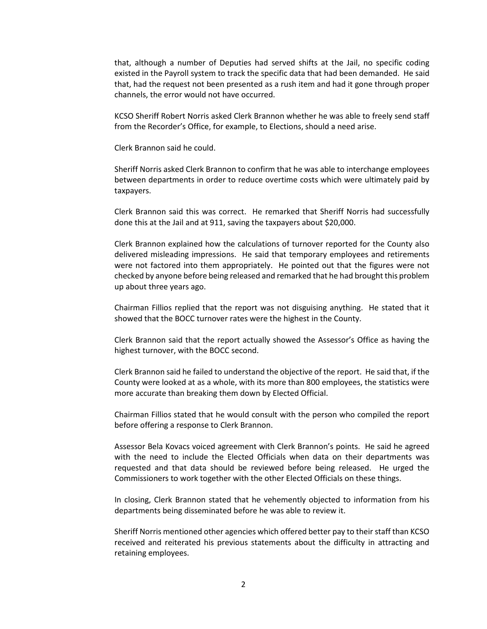that, although a number of Deputies had served shifts at the Jail, no specific coding existed in the Payroll system to track the specific data that had been demanded. He said that, had the request not been presented as a rush item and had it gone through proper channels, the error would not have occurred.

KCSO Sheriff Robert Norris asked Clerk Brannon whether he was able to freely send staff from the Recorder's Office, for example, to Elections, should a need arise.

Clerk Brannon said he could.

Sheriff Norris asked Clerk Brannon to confirm that he was able to interchange employees between departments in order to reduce overtime costs which were ultimately paid by taxpayers.

Clerk Brannon said this was correct. He remarked that Sheriff Norris had successfully done this at the Jail and at 911, saving the taxpayers about \$20,000.

Clerk Brannon explained how the calculations of turnover reported for the County also delivered misleading impressions. He said that temporary employees and retirements were not factored into them appropriately. He pointed out that the figures were not checked by anyone before being released and remarked that he had brought this problem up about three years ago.

Chairman Fillios replied that the report was not disguising anything. He stated that it showed that the BOCC turnover rates were the highest in the County.

Clerk Brannon said that the report actually showed the Assessor's Office as having the highest turnover, with the BOCC second.

Clerk Brannon said he failed to understand the objective of the report. He said that, if the County were looked at as a whole, with its more than 800 employees, the statistics were more accurate than breaking them down by Elected Official.

Chairman Fillios stated that he would consult with the person who compiled the report before offering a response to Clerk Brannon.

Assessor Bela Kovacs voiced agreement with Clerk Brannon's points. He said he agreed with the need to include the Elected Officials when data on their departments was requested and that data should be reviewed before being released. He urged the Commissioners to work together with the other Elected Officials on these things.

In closing, Clerk Brannon stated that he vehemently objected to information from his departments being disseminated before he was able to review it.

Sheriff Norris mentioned other agencies which offered better pay to their staff than KCSO received and reiterated his previous statements about the difficulty in attracting and retaining employees.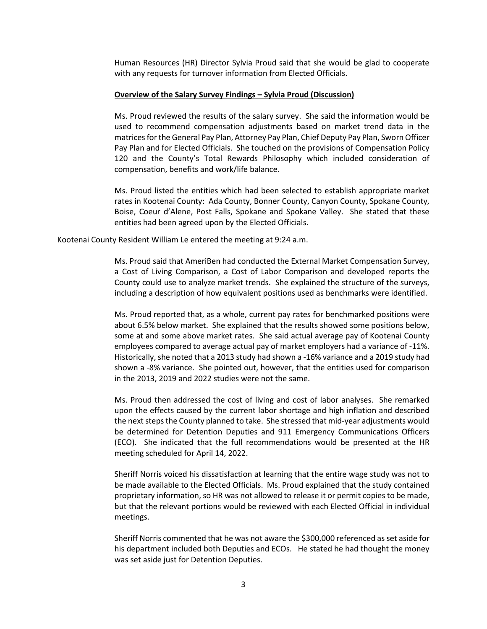Human Resources (HR) Director Sylvia Proud said that she would be glad to cooperate with any requests for turnover information from Elected Officials.

## **Overview of the Salary Survey Findings – Sylvia Proud (Discussion)**

Ms. Proud reviewed the results of the salary survey. She said the information would be used to recommend compensation adjustments based on market trend data in the matrices for the General Pay Plan, Attorney Pay Plan, Chief Deputy Pay Plan, Sworn Officer Pay Plan and for Elected Officials. She touched on the provisions of Compensation Policy 120 and the County's Total Rewards Philosophy which included consideration of compensation, benefits and work/life balance.

Ms. Proud listed the entities which had been selected to establish appropriate market rates in Kootenai County: Ada County, Bonner County, Canyon County, Spokane County, Boise, Coeur d'Alene, Post Falls, Spokane and Spokane Valley. She stated that these entities had been agreed upon by the Elected Officials.

Kootenai County Resident William Le entered the meeting at 9:24 a.m.

Ms. Proud said that AmeriBen had conducted the External Market Compensation Survey, a Cost of Living Comparison, a Cost of Labor Comparison and developed reports the County could use to analyze market trends. She explained the structure of the surveys, including a description of how equivalent positions used as benchmarks were identified.

Ms. Proud reported that, as a whole, current pay rates for benchmarked positions were about 6.5% below market. She explained that the results showed some positions below, some at and some above market rates. She said actual average pay of Kootenai County employees compared to average actual pay of market employers had a variance of -11%. Historically, she noted that a 2013 study had shown a -16% variance and a 2019 study had shown a -8% variance. She pointed out, however, that the entities used for comparison in the 2013, 2019 and 2022 studies were not the same.

Ms. Proud then addressed the cost of living and cost of labor analyses. She remarked upon the effects caused by the current labor shortage and high inflation and described the next steps the County planned to take. She stressed that mid-year adjustments would be determined for Detention Deputies and 911 Emergency Communications Officers (ECO). She indicated that the full recommendations would be presented at the HR meeting scheduled for April 14, 2022.

Sheriff Norris voiced his dissatisfaction at learning that the entire wage study was not to be made available to the Elected Officials. Ms. Proud explained that the study contained proprietary information, so HR was not allowed to release it or permit copies to be made, but that the relevant portions would be reviewed with each Elected Official in individual meetings.

Sheriff Norris commented that he was not aware the \$300,000 referenced as set aside for his department included both Deputies and ECOs. He stated he had thought the money was set aside just for Detention Deputies.